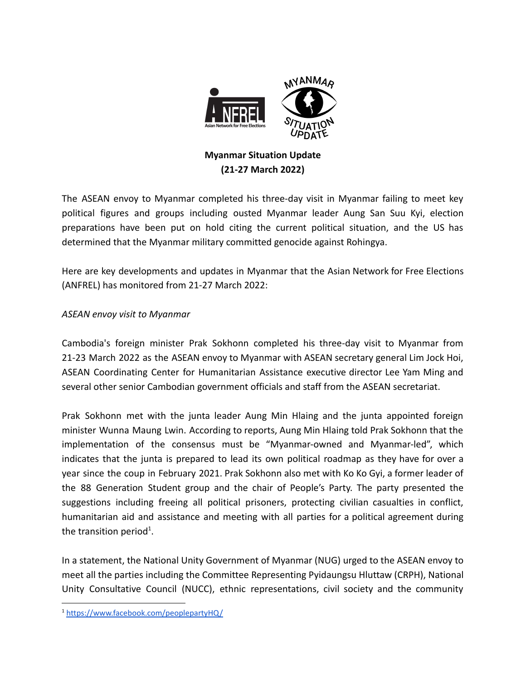

# **Myanmar Situation Update (21-27 March 2022)**

The ASEAN envoy to Myanmar completed his three-day visit in Myanmar failing to meet key political figures and groups including ousted Myanmar leader Aung San Suu Kyi, election preparations have been put on hold citing the current political situation, and the US has determined that the Myanmar military committed genocide against Rohingya.

Here are key developments and updates in Myanmar that the Asian Network for Free Elections (ANFREL) has monitored from 21-27 March 2022:

## *ASEAN envoy visit to Myanmar*

Cambodia's foreign minister Prak Sokhonn completed his three-day visit to Myanmar from 21-23 March 2022 as the ASEAN envoy to Myanmar with ASEAN secretary general Lim Jock Hoi, ASEAN Coordinating Center for Humanitarian Assistance executive director Lee Yam Ming and several other senior Cambodian government officials and staff from the ASEAN secretariat.

Prak Sokhonn met with the junta leader Aung Min Hlaing and the junta appointed foreign minister Wunna Maung Lwin. According to reports, Aung Min Hlaing told Prak Sokhonn that the implementation of the consensus must be "Myanmar-owned and Myanmar-led", which indicates that the junta is prepared to lead its own political roadmap as they have for over a year since the coup in February 2021. Prak Sokhonn also met with Ko Ko Gyi, a former leader of the 88 Generation Student group and the chair of People's Party. The party presented the suggestions including freeing all political prisoners, protecting civilian casualties in conflict, humanitarian aid and assistance and meeting with all parties for a political agreement during the transition period<sup>1</sup>.

In a statement, the National Unity Government of Myanmar (NUG) urged to the ASEAN envoy to meet all the parties including the Committee Representing Pyidaungsu Hluttaw (CRPH), National Unity Consultative Council (NUCC), ethnic representations, civil society and the community

<sup>1</sup> <https://www.facebook.com/peoplepartyHQ/>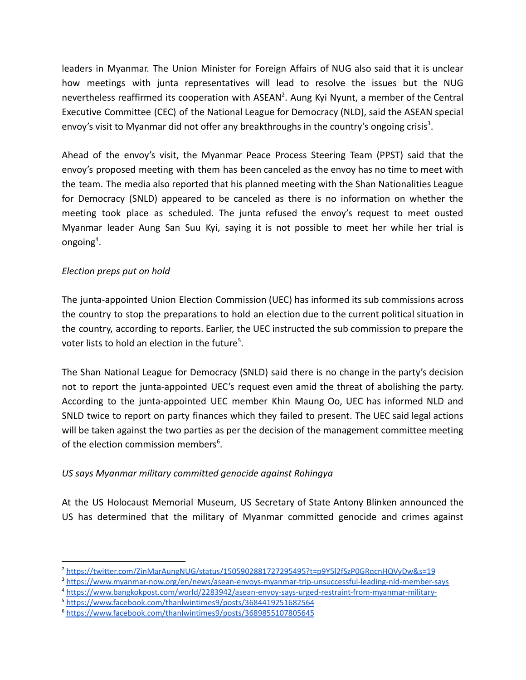leaders in Myanmar. The Union Minister for Foreign Affairs of NUG also said that it is unclear how meetings with junta representatives will lead to resolve the issues but the NUG nevertheless reaffirmed its cooperation with ASEAN<sup>2</sup>. Aung Kyi Nyunt, a member of the Central Executive Committee (CEC) of the National League for Democracy (NLD), said the ASEAN special envoy's visit to Myanmar did not offer any breakthroughs in the country's ongoing crisis<sup>3</sup>.

Ahead of the envoy's visit, the Myanmar Peace Process Steering Team (PPST) said that the envoy's proposed meeting with them has been canceled as the envoy has no time to meet with the team. The media also reported that his planned meeting with the Shan Nationalities League for Democracy (SNLD) appeared to be canceled as there is no information on whether the meeting took place as scheduled. The junta refused the envoy's request to meet ousted Myanmar leader Aung San Suu Kyi, saying it is not possible to meet her while her trial is ongoing<sup>4</sup>.

## *Election preps put on hold*

The junta-appointed Union Election Commission (UEC) has informed its sub commissions across the country to stop the preparations to hold an election due to the current political situation in the country, according to reports. Earlier, the UEC instructed the sub commission to prepare the voter lists to hold an election in the future<sup>5</sup>.

The Shan National League for Democracy (SNLD) said there is no change in the party's decision not to report the junta-appointed UEC's request even amid the threat of abolishing the party. According to the junta-appointed UEC member Khin Maung Oo, UEC has informed NLD and SNLD twice to report on party finances which they failed to present. The UEC said legal actions will be taken against the two parties as per the decision of the management committee meeting of the election commission members<sup>6</sup>.

#### *US says Myanmar military committed genocide against Rohingya*

At the US Holocaust Memorial Museum, US Secretary of State Antony Blinken announced the US has determined that the military of Myanmar committed genocide and crimes against

<sup>2</sup> <https://twitter.com/ZinMarAungNUG/status/1505902881727295495?t=p9Y5l2fSzP0GRqcnHQVyDw&s=19>

<sup>3</sup> <https://www.myanmar-now.org/en/news/asean-envoys-myanmar-trip-unsuccessful-leading-nld-member-says>

<sup>4</sup> <https://www.bangkokpost.com/world/2283942/asean-envoy-says-urged-restraint-from-myanmar-military->

<sup>5</sup> <https://www.facebook.com/thanlwintimes9/posts/3684419251682564>

<sup>6</sup> <https://www.facebook.com/thanlwintimes9/posts/3689855107805645>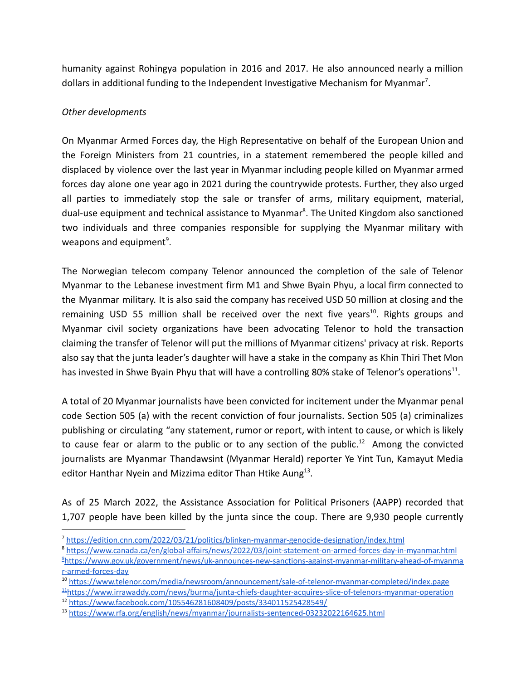humanity against Rohingya population in 2016 and 2017. He also announced nearly a million dollars in additional funding to the Independent Investigative Mechanism for Myanmar<sup>7</sup>.

#### *Other developments*

On Myanmar Armed Forces day, the High Representative on behalf of the European Union and the Foreign Ministers from 21 countries, in a statement remembered the people killed and displaced by violence over the last year in Myanmar including people killed on Myanmar armed forces day alone one year ago in 2021 during the countrywide protests. Further, they also urged all parties to immediately stop the sale or transfer of arms, military equipment, material, dual-use equipment and technical assistance to Myanmar<sup>8</sup>. The United Kingdom also sanctioned two individuals and three companies responsible for supplying the Myanmar military with weapons and equipment<sup>9</sup>.

The Norwegian telecom company Telenor announced the completion of the sale of Telenor Myanmar to the Lebanese investment firm M1 and Shwe Byain Phyu, a local firm connected to the Myanmar military. It is also said the company has received USD 50 million at closing and the remaining USD 55 million shall be received over the next five years<sup>10</sup>. Rights groups and Myanmar civil society organizations have been advocating Telenor to hold the transaction claiming the transfer of Telenor will put the millions of Myanmar citizens' privacy at risk. Reports also say that the junta leader's daughter will have a stake in the company as Khin Thiri Thet Mon has invested in Shwe Byain Phyu that will have a controlling 80% stake of Telenor's operations<sup>11</sup>.

A total of 20 Myanmar journalists have been convicted for incitement under the Myanmar penal code Section 505 (a) with the recent conviction of four journalists. Section 505 (a) criminalizes publishing or circulating "any statement, rumor or report, with intent to cause, or which is likely to cause fear or alarm to the public or to any section of the public.<sup>12</sup> Among the convicted journalists are Myanmar Thandawsint (Myanmar Herald) reporter Ye Yint Tun, Kamayut Media editor Hanthar Nyein and Mizzima editor Than Htike Aung<sup>13</sup>.

As of 25 March 2022, the Assistance Association for Political Prisoners (AAPP) recorded that 1,707 people have been killed by the junta since the coup. There are 9,930 people currently

<sup>12</sup> <https://www.facebook.com/105546281608409/posts/334011525428549/>

<sup>7</sup> <https://edition.cnn.com/2022/03/21/politics/blinken-myanmar-genocide-designation/index.html>

<sup>9</sup>[https://www.gov.uk/government/news/uk-announces-new-sanctions-against-myanmar-military-ahead-of-myanma](https://www.gov.uk/government/news/uk-announces-new-sanctions-against-myanmar-military-ahead-of-myanmar-armed-forces-day) [r-armed-forces-day](https://www.gov.uk/government/news/uk-announces-new-sanctions-against-myanmar-military-ahead-of-myanmar-armed-forces-day) <sup>8</sup> <https://www.canada.ca/en/global-affairs/news/2022/03/joint-statement-on-armed-forces-day-in-myanmar.html>

<sup>11</sup>[https://www.irrawaddy.com/news/burma/junta-chiefs-daughter-acquires-slice-of-telenors-myanmar-operation](https://www.irrawaddy.com/news/burma/junta-chiefs-daughter-acquires-slice-of-telenors-myanmar-operation.html) <sup>10</sup> <https://www.telenor.com/media/newsroom/announcement/sale-of-telenor-myanmar-completed/index.page>

<sup>13</sup> <https://www.rfa.org/english/news/myanmar/journalists-sentenced-03232022164625.html>